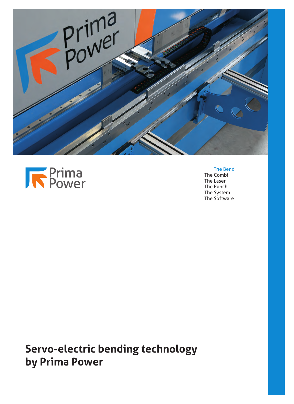

# **K** Prima

#### The Bend

The Combi The Laser The Punch The System The Software

**Servo-electric bending technology by Prima Power**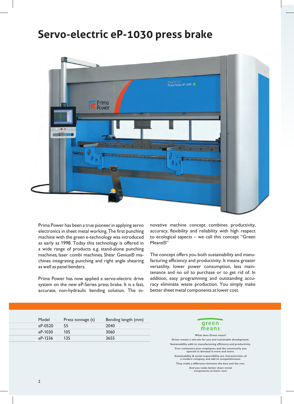## **Servo-electric eP-1030 press brake**



Prima Power has been a true pioneer in applying servo electronics in sheet metal working.The first punching machine with the green e-technology was introduced as early as 1998. Today this technology is offered in a wide range of products e.g. stand-alone punching machines, laser combi machines, Shear Genius® machines integrating punching and right angle shearing as well as panel benders.

Prima Power has now applied a servo-electric drive system on the new eP-Series press brake. It is a fast, accurate, non-hydraulic bending solution. The innovative machine concept combines productivity, accuracy, flexibility and reliability with high respect to ecological aspects – we call this concept "Green Means®"

The concept offers you both sustainability and manufacturing efficiency and productivity. It means greater versatility, lower power consumption, less maintenance and no oil to purchase or to get rid of. In addition, easy programming and outstanding accuracy eliminate waste production. You simply make better sheet metal components at lower cost.

| Model     | Press tonnage (t) | Bending length (mm) |
|-----------|-------------------|---------------------|
| $eP-0520$ | 55                | 2040                |
| $eP-1030$ | 105               | 3060                |
| eP-1336   | 135               | 3655                |



**What does Green mean? Green means a win-win for you and sustainable development. Sustainability adds to manufacturing efficiency and productivity. Your customers, your employees and the community you operate in demand it more and more. Sustainability & social responsibility are characteristics of**

**a modern company and add to competitiveness. They make a difference between the best and the rest.**

> **And you make better sheet metal components at lower cost.**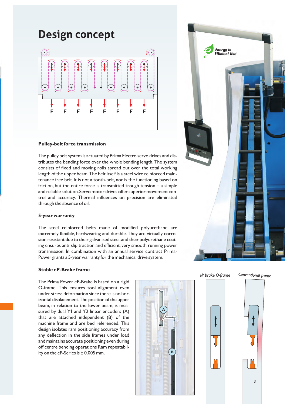# **Design concept**



#### **Pulley-belt force transmission**

The pulley belt system is actuated by Prima Electro servo drives and distributes the bending force over the whole bending length. The system consists of fixed and moving rolls spread out over the total working length of the upper beam.The belt itself is a steel wire reinforced maintenance free belt. It is not a tooth-belt, nor is the functioning based on friction, but the entire force is transmitted trough tension  $-$  a simple and reliable solution.Servo motor drives offer superior movement control and accuracy. Thermal influences on precision are eliminated through the absence of oil.

#### **5-year warranty**

The steel reinforced belts made of modified polyurethane are extremely flexible, hardwearing and durable. They are virtually corrosion resistant due to their galvanised steel,and their polyurethane coating ensures anti-slip traction and efficient, very smooth running power transmission. In combination with an annual service contract Prima-Power grants a 5-year warranty for the mechanical drive system.



#### **Stable eP-Brake frame**

The Prima Power eP-Brake is based on a rigid O-frame. This ensures tool alignment even under stress deformation since there is no horizontal displacement.The position of the upper beam, in relation to the lower beam, is measured by dual Y1 and Y2 linear encoders (A) that are attached independent (B) of the machine frame and are bed referenced. This design isolates ram positioning accuracy from any deflection in the side frames under load and maintains accurate positioning even during off centre bending operations.Ram repeatability on the eP-Series is  $\pm$  0.005 mm.



#### *eP brake O-frame Conventional frame*



3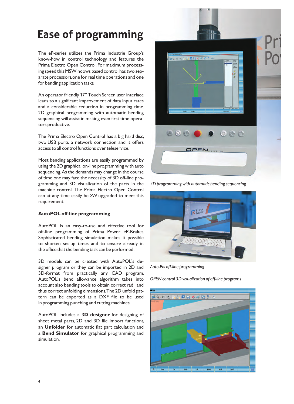# **Ease of programming**

The eP-series utilizes the Prima Industrie Group's know-how in control technology and features the Prima Electro Open Control. For maximum processing speed this MSWindows based control has two separate processors,one for real time operations and one for bending application tasks.

An operator friendly 17" Touch Screen user interface leads to a significant improvement of data input rates and a considerable reduction in programming time. 2D graphical programming with automatic bending sequencing will assist in making even first time operators productive.

The Prima Electro Open Control has a big hard disc, two USB ports, a network connection and it offers access to all control functions over teleservice.

Most bending applications are easily programmed by using the 2D graphical on-line programming with auto sequencing.As the demands may change in the course of time one may face the necessity of 3D off-line programming and 3D visualization of the parts in the machine control. The Prima Electro Open Control can at any time easily be SW-upgraded to meet this requirement.

#### **AutoPOL off-line programming**

AutoPOL is an easy-to-use and effective tool for off-line programming of Prima Power eP-Brakes. Sophisticated bending simulation makes it possible to shorten set-up times and to ensure already in the office that the bending task can be performed.

3D models can be created with AutoPOL's designer program or they can be imported in 2D and 3D-format from practically any CAD program. AutoPOL's bend allowance algorithm takes into account also bending tools to obtain correct radii and thus correct unfolding dimensions.The 2D unfold pattern can be exported as a DXF file to be used in programming punching and cutting machines.

AutoPOL includes a 3D designer for designing of sheet metal parts, 2D and 3D file import functions, an **Unfolder** for automatic flat part calculation and a **Bend Simulator** for graphical programming and simulation.



*2D programming with automatic bending sequencing*



*Auto-Pol off-line programming*

*OPEN control 3D visualization of off-line programs*

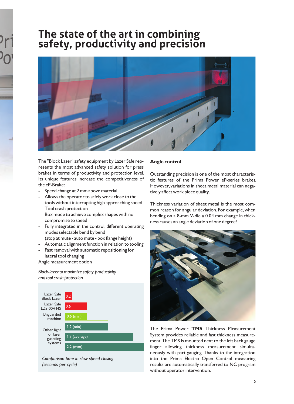### **The state of the art in combining safety, productivity and precision**



The "Block Laser" safety equipment by Lazer Safe represents the most advanced safety solution for press brakes in terms of productivity and protection level. Its unique features increase the competitiveness of the eP-Brake:

- Speed change at 2 mm above material
- Allows the operator to safely work close to the tools without interrupting high approaching speed
- Tool crash protection
- Box mode to achieve complex shapes with no compromise to speed
- Fully integrated in the control; different operating modes selectable bend by bend (stop at mute - auto mute - box flange height)
- Automatic alignment function in relation to tooling
- Fast removal with automatic repositioning for lateral tool changing

Angle measurement option

#### *Block-lazer to maximize safety,productivity and tool crash protection*



*Comparison time in slow speed closing (seconds per cycle)*

#### **Angle control**

Outstanding precision is one of the most characteristic features of the Prima Power eP-series brakes. However, variations in sheet metal material can negatively affect work piece quality.

Thickness variation of sheet metal is the most common reason for angular deviation. For example, when bending on a 8-mm V-die a 0.04 mm change in thickness causes an angle deviation of one degree!



The Prima Power TMS Thickness Measurement System provides reliable and fast thickness measurement.The TMS is mounted next to the left back gauge finger allowing thickness measurement simultaneously with part gauging. Thanks to the integration into the Prima Electro Open Control measuring results are automatically transferred to NC program without operator intervention.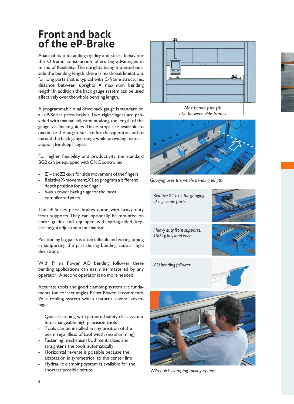### **Front and back of the eP-Brake**

Apart of its outstanding rigidity and stress behaviour the O-frame construction offers big advantages in terms of flexibility. The uprights being mounted outside the bending length, there is no throat limitations for long parts that is typical with C-frame structures; distance between uprights  $=$  maximum bending length! In addition the back gauge system can be used effectively over the whole bending length.

A programmable dual drive back gauge is standard on all eP-Series press brakes. Two rigid fingers are provided with manual adjustment along the length of the gauge via linear-guides. Three stops are available to maximize the target surface for the operator and to extend the back gauge range while providing material support for deep flanges.

For higher flexibility and productivity the standard BG2 can be equipped with CNC controlled:

- Z1- andZ2-axis for side movement of the fingers
- RelativeX-movement,X1,to program a different depth position for one finger
- 6-axis tower back gauge for the most complicated parts

The eP-Series press brakes come with heavy duty front supports. They can optionally be mounted on linear guides and equipped with spring-aided, keyless height adjustment mechanism.

Positioning big parts is often difficult and wrong timing in supporting the part during bending causes angle deviations.

With Prima Power AQ bending follower these bending applications can easily be mastered by any operator. A second operator is no more needed.

Accurate tools and good clamping system are fundaments for correct angles. Prima Power recommends Wila tooling system which features several advantages:

- Quick fastening with patented safety click system
- Interchangeable high precision tools
- Tools can be installed in any position of the beam regardless of tool width (no shimming)
- Fastening mechanism both centralizes and straightens the tools automatically
- Horizontal reverse is possible because the adaptation is symmetrical to the center line
- Hydraulic clamping system is available for the shortest possible setups



*Max bending length also between side frames*



*Gauging over the whole bending length.*



*Wila quick clamping tooling system.*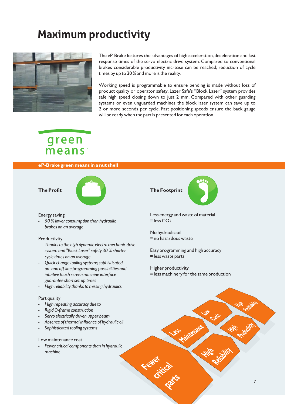# **Maximum productivity**



The eP-Brake features the advantages of high acceleration, deceleration and fast response times of the servo-electric drive system. Compared to conventional brakes considerable productivity increase can be reached; reduction of cycle times by up to 30 % and more is the reality.

Working speed is programmable to ensure bending is made without loss of product quality or operator safety. Lazer Safe's "Block Laser" system provides safe high speed closing down to just 2 mm. Compared with other guarding systems or even unguarded machines the block laser system can save up to 2 or more seconds per cycle. Fast positioning speeds ensure the back gauge will be ready when the part is presented for each operation.

## green means

#### **eP-Brake green means in a nut shell**

#### **The Profit**



#### Energy saving

*- 50 % lower consumption than hydraulic brakes on an average*

#### **Productivity**

- *Thanks to the high dynamic electro mechanic drive system and "Block Laser" safety 30 % shorter cycle times on an average*
- *Quick change tooling systems,sophisticated on- and off-line programming possibilities and intuitive touch screen machine interface guarantee short set-up times*
- *High reliability thanks to missing hydraulics*

#### Part quality

- *High repeating accuracy due to*
- *Rigid O-frame construction*
- *Servo electrically driven upper beam*
- *Absence of thermal influence of hydraulic oil*
- *Sophisticated tooling systems*

#### Low maintenance cost

*- Fewer critical components than in hydraulic machine*

# **The Footprint**

Less energy and waste of material = less CO 2

No hydraulic oil = no hazardous waste

Felibert

Easy programming and high accuracy = less waste parts

Higher productivity = less machinery for the same production